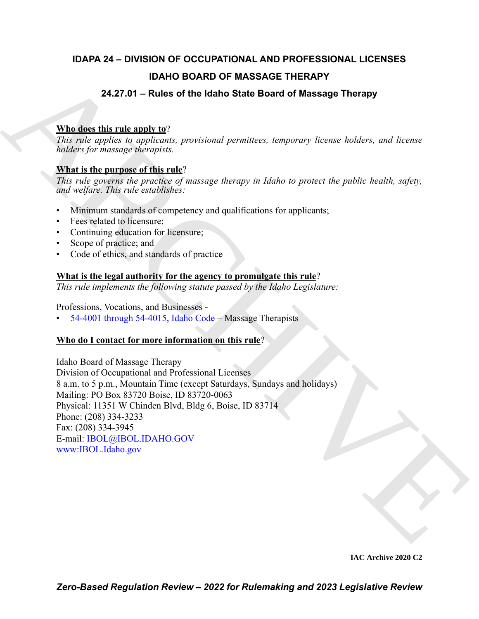# **IDAPA 24 – DIVISION OF OCCUPATIONAL AND PROFESSIONAL LICENSES IDAHO BOARD OF MASSAGE THERAPY**

# **24.27.01 – Rules of the Idaho State Board of Massage Therapy**

# **Who does this rule apply to**?

*This rule applies to applicants, provisional permittees, temporary license holders, and license holders for massage therapists.*

# **What is the purpose of this rule**?

*This rule governs the practice of massage therapy in Idaho to protect the public health, safety, and welfare. This rule establishes:*

- Minimum standards of competency and qualifications for applicants;
- Fees related to licensure;
- Continuing education for licensure;
- Scope of practice; and
- Code of ethics, and standards of practice

# **What is the legal authority for the agency to promulgate this rule**?

*This rule implements the following statute passed by the Idaho Legislature:*

Professions, Vocations, and Businesses -

• 54-4001 through 54-4015, Idaho Code – Massage Therapists

# **Who do I contact for more information on this rule**?

**EXAMPLE BOARD OF MASSAGE THERAPY**<br>
24.27.01 – Rules of the Idaho State Board of Massage Therapy<br>
This note applies to applicative, providinal permitters, tomponery linear holders, and linear<br>
holders for manage interapy Idaho Board of Massage Therapy Division of Occupational and Professional Licenses 8 a.m. to 5 p.m., Mountain Time (except Saturdays, Sundays and holidays) Mailing: PO Box 83720 Boise, ID 83720-0063 Physical: 11351 W Chinden Blvd, Bldg 6, Boise, ID 83714 Phone: (208) 334-3233 Fax: (208) 334-3945 E-mail: IBOL@IBOL.IDAHO.GOV www:IBOL.Idaho.gov

**IAC Archive 2020 C2**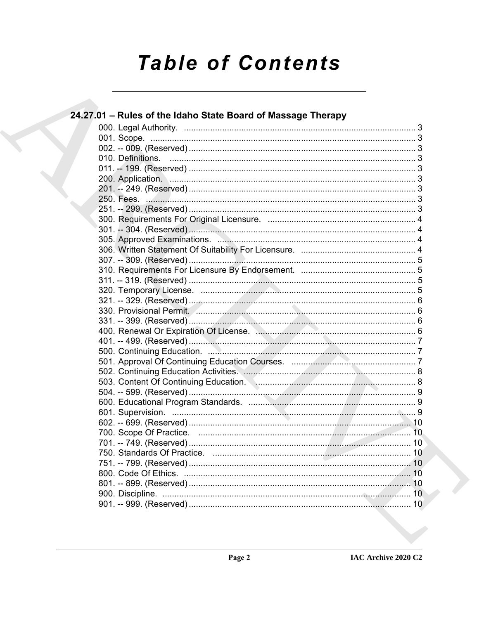# **Table of Contents**

| 24.27.01 - Rules of the Idaho State Board of Massage Therapy |  |
|--------------------------------------------------------------|--|
|                                                              |  |
|                                                              |  |
|                                                              |  |
|                                                              |  |
|                                                              |  |
|                                                              |  |
|                                                              |  |
|                                                              |  |
|                                                              |  |
|                                                              |  |
|                                                              |  |
|                                                              |  |
|                                                              |  |
|                                                              |  |
|                                                              |  |
|                                                              |  |
|                                                              |  |
|                                                              |  |
|                                                              |  |
|                                                              |  |
|                                                              |  |
|                                                              |  |
|                                                              |  |
|                                                              |  |
|                                                              |  |
|                                                              |  |
|                                                              |  |
|                                                              |  |
|                                                              |  |
|                                                              |  |
|                                                              |  |
|                                                              |  |
|                                                              |  |
|                                                              |  |
|                                                              |  |
|                                                              |  |
|                                                              |  |
|                                                              |  |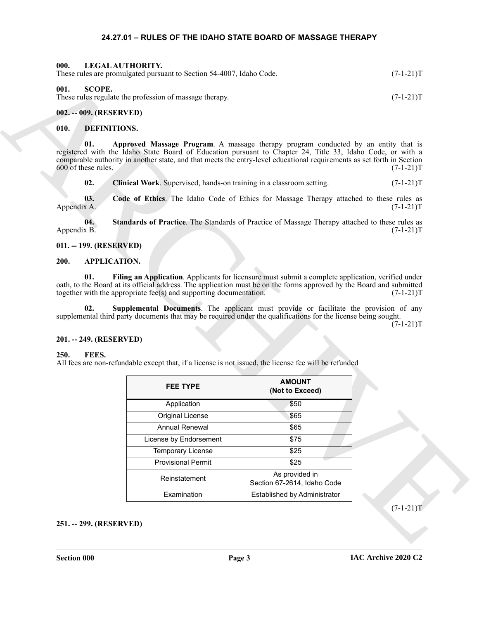#### <span id="page-2-19"></span>**24.27.01 – RULES OF THE IDAHO STATE BOARD OF MASSAGE THERAPY**

<span id="page-2-20"></span><span id="page-2-2"></span><span id="page-2-1"></span><span id="page-2-0"></span>

| 000.<br>LEGAL AUTHORITY.<br>These rules are promulgated pursuant to Section 54-4007, Idaho Code. | $(7-1-21)T$ |
|--------------------------------------------------------------------------------------------------|-------------|
| 001.<br>SCOPE.<br>These rules regulate the profession of massage therapy.                        | $(7-1-21)T$ |
| 002. -- 009. (RESERVED)                                                                          |             |

## <span id="page-2-15"></span><span id="page-2-14"></span><span id="page-2-13"></span><span id="page-2-4"></span><span id="page-2-3"></span>**010. DEFINITIONS.**

#### <span id="page-2-17"></span><span id="page-2-16"></span><span id="page-2-5"></span>**011. -- 199. (RESERVED)**

#### <span id="page-2-11"></span><span id="page-2-10"></span><span id="page-2-6"></span>**200. APPLICATION.**

#### <span id="page-2-12"></span><span id="page-2-7"></span>**201. -- 249. (RESERVED)**

#### <span id="page-2-18"></span><span id="page-2-9"></span><span id="page-2-8"></span>**250. FEES.**

| 001.<br><b>SCOPE.</b>          |                                                                                                                                                                                                                                      | These rules are promulgated pursuant to Section 54-4007, Idaho Code.                           | $(7-1-21)T$ |
|--------------------------------|--------------------------------------------------------------------------------------------------------------------------------------------------------------------------------------------------------------------------------------|------------------------------------------------------------------------------------------------|-------------|
|                                | These rules regulate the profession of massage therapy.                                                                                                                                                                              |                                                                                                | $(7-1-21)T$ |
| 002. -- 009. (RESERVED)        |                                                                                                                                                                                                                                      |                                                                                                |             |
| 010.                           | <b>DEFINITIONS.</b>                                                                                                                                                                                                                  |                                                                                                |             |
| 01.<br>600 of these rules.     | registered with the Idaho State Board of Education pursuant to Chapter 24, Title 33, Idaho Code, or with a<br>comparable authority in another state, and that meets the entry-level educational requirements as set forth in Section | Approved Massage Program. A massage therapy program conducted by an entity that is             | $(7-1-21)T$ |
| 02.                            | Clinical Work. Supervised, hands-on training in a classroom setting.                                                                                                                                                                 |                                                                                                | $(7-1-21)T$ |
| 03.<br>Appendix A.             |                                                                                                                                                                                                                                      | Code of Ethics. The Idaho Code of Ethics for Massage Therapy attached to these rules as        | $(7-1-21)T$ |
| 04.<br>Appendix B.             |                                                                                                                                                                                                                                      | Standards of Practice. The Standards of Practice of Massage Therapy attached to these rules as | $(7-1-21)T$ |
| 011. -- 199. (RESERVED)        |                                                                                                                                                                                                                                      |                                                                                                |             |
| 200.                           | <b>APPLICATION.</b>                                                                                                                                                                                                                  |                                                                                                |             |
| 02.<br>201. -- 249. (RESERVED) | supplemental third party documents that may be required under the qualifications for the license being sought.                                                                                                                       | Supplemental Documents. The applicant must provide or facilitate the provision of any          | $(7-1-21)T$ |
| FEES.<br>250.                  | All fees are non-refundable except that, if a license is not issued, the license fee will be refunded                                                                                                                                |                                                                                                |             |
|                                | <b>FEE TYPE</b>                                                                                                                                                                                                                      | <b>AMOUNT</b><br>(Not to Exceed)                                                               |             |
|                                | Application                                                                                                                                                                                                                          | \$50                                                                                           |             |
|                                | Original License                                                                                                                                                                                                                     | \$65                                                                                           |             |
|                                | Annual Renewal                                                                                                                                                                                                                       | \$65                                                                                           |             |
|                                | License by Endorsement                                                                                                                                                                                                               | \$75                                                                                           |             |
|                                | <b>Temporary License</b>                                                                                                                                                                                                             | \$25                                                                                           |             |
|                                | <b>Provisional Permit</b>                                                                                                                                                                                                            | \$25                                                                                           |             |
|                                | Reinstatement                                                                                                                                                                                                                        | As provided in<br>Section 67-2614, Idaho Code                                                  |             |
|                                | Examination                                                                                                                                                                                                                          | Established by Administrator                                                                   |             |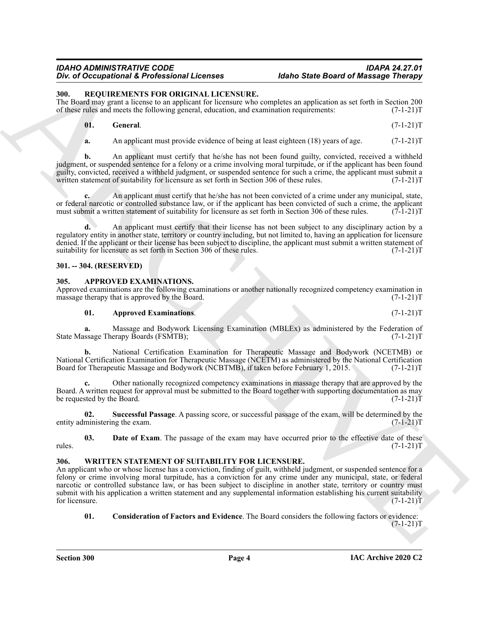<span id="page-3-7"></span><span id="page-3-0"></span>**300. REQUIREMENTS FOR ORIGINAL LICENSURE.**

The Board may grant a license to an applicant for licensure who completes an application as set forth in Section 200 of these rules and meets the following general, education, and examination requirements:  $(7-1-21)$ of these rules and meets the following general, education, and examination requirements:

| 01. | <b>General.</b> | $(7-1-21)T$ |
|-----|-----------------|-------------|
|     |                 |             |

<span id="page-3-8"></span>**a.** An applicant must provide evidence of being at least eighteen (18) years of age.  $(7-1-21)T$ 

**b.** An applicant must certify that he/she has not been found guilty, convicted, received a withheld judgment, or suspended sentence for a felony or a crime involving moral turpitude, or if the applicant has been found guilty, convicted, received a withheld judgment, or suspended sentence for such a crime, the applicant must submit a written statement of suitability for licensure as set forth in Section 306 of these rules. (7-1-21)T

**c.** An applicant must certify that he/she has not been convicted of a crime under any municipal, state, or federal narcotic or controlled substance law, or if the applicant has been convicted of such a crime, the applicant must submit a written statement of suitability for licensure as set forth in Section 306 of these rules. (7-1-21)T

**d.** An applicant must certify that their license has not been subject to any disciplinary action by a regulatory entity in another state, territory or country including, but not limited to, having an application for licensure denied. If the applicant or their license has been subject to discipline, the applicant must submit a written statement of suitability for licensure as set forth in Section 306 of these rules. (7-1-21)T

## <span id="page-3-1"></span>**301. -- 304. (RESERVED)**

## <span id="page-3-4"></span><span id="page-3-2"></span>**305. APPROVED EXAMINATIONS.**

Approved examinations are the following examinations or another nationally recognized competency examination in massage therapy that is approved by the Board. (7-1-21) massage therapy that is approved by the Board.

#### **01.** Approved Examinations. (7-1-21)T

**a.** Massage and Bodywork Licensing Examination (MBLEx) as administered by the Federation of ssage Therapy Boards (FSMTB);  $(7-1-21)$ State Massage Therapy Boards (FSMTB);

**b.** National Certification Examination for Therapeutic Massage and Bodywork (NCETMB) or National Certification Examination for Therapeutic Massage (NCETM) as administered by the National Certification Board for Therapeutic Massage and Bodywork (NCBTMB), if taken before February 1, 2015. (7-1-21)T

**c.** Other nationally recognized competency examinations in massage therapy that are approved by the Board. A written request for approval must be submitted to the Board together with supporting documentation as may<br>(7-1-21)T be requested by the Board.

<span id="page-3-6"></span>**02. Successful Passage**. A passing score, or successful passage of the exam, will be determined by the entity administering the exam. (7-1-21) T

<span id="page-3-5"></span>**03. Date of Exam**. The passage of the exam may have occurred prior to the effective date of these  $(7-1-21)$ rules.  $(7-1-21)T$ 

#### <span id="page-3-9"></span><span id="page-3-3"></span>**306. WRITTEN STATEMENT OF SUITABILITY FOR LICENSURE.**

*Div* of Decoration of Everybeiron at Lemma Control Control Control Control Control Control Control Control Control Control Control Control Control Control Control Control Control Control Control Control Control Control C An applicant who or whose license has a conviction, finding of guilt, withheld judgment, or suspended sentence for a felony or crime involving moral turpitude, has a conviction for any crime under any municipal, state, or federal narcotic or controlled substance law, or has been subject to discipline in another state, territory or country must submit with his application a written statement and any supplemental information establishing his current suitability for licensure.  $(7-1-21)T$ 

<span id="page-3-10"></span>**01. Consideration of Factors and Evidence**. The Board considers the following factors or evidence:  $(7-1-21)T$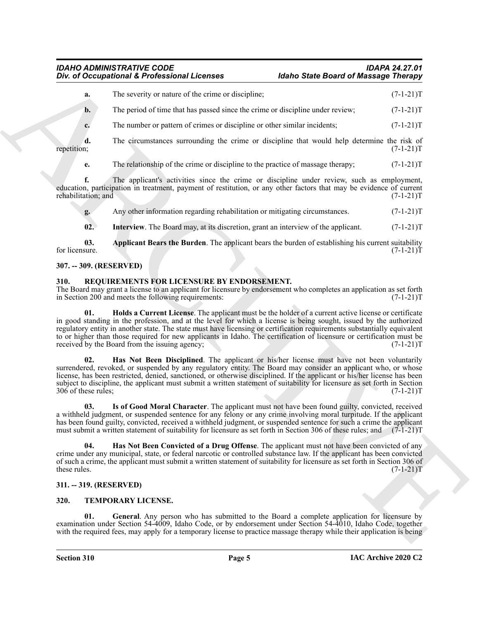**a.** The severity or nature of the crime or discipline; (7-1-21)T **b.** The period of time that has passed since the crime or discipline under review;  $(7-1-21)$ T

**c.** The number or pattern of crimes or discipline or other similar incidents;  $(7-1-21)$ T

**d.** The circumstances surrounding the crime or discipline that would help determine the risk of repetition;  $(7-1-21)T$ repetition; (7-1-21)T

**e.** The relationship of the crime or discipline to the practice of massage therapy;  $(7-1-21)$ T

**f.** The applicant's activities since the crime or discipline under review, such as employment, education, participation in treatment, payment of restitution, or any other factors that may be evidence of current rehabilitation; and (7-1-21)T

<span id="page-4-12"></span>**g.** Any other information regarding rehabilitation or mitigating circumstances. (7-1-21)T

<span id="page-4-11"></span>**02.** Interview. The Board may, at its discretion, grant an interview of the applicant. (7-1-21)T

**03.** Applicant Bears the Burden. The applicant bears the burden of establishing his current suitability for licensure. (7-1-21)T for licensure.  $(7-1-21)T$ 

## <span id="page-4-0"></span>**307. -- 309. (RESERVED)**

## <span id="page-4-4"></span><span id="page-4-1"></span>**310. REQUIREMENTS FOR LICENSURE BY ENDORSEMENT.**

<span id="page-4-7"></span>The Board may grant a license to an applicant for licensure by endorsement who completes an application as set forth in Section 200 and meets the following requirements:  $(7-1-21)$ in Section 200 and meets the following requirements:

One of Occupational K. Professional Licences<br>
Note 2 of the second Matter stress than the second vertex of the second vertex of the second vertex  $(7-1-1)$ <br>
Fig. The probability of the second vertex of the second vertex o **01. Holds a Current License**. The applicant must be the holder of a current active license or certificate in good standing in the profession, and at the level for which a license is being sought, issued by the authorized regulatory entity in another state. The state must have licensing or certification requirements substantially equivalent to or higher than those required for new applicants in Idaho. The certification of licensure or certification must be received by the Board from the issuing agency; (7-1-21) received by the Board from the issuing agency;

<span id="page-4-6"></span>**02. Has Not Been Disciplined**. The applicant or his/her license must have not been voluntarily surrendered, revoked, or suspended by any regulatory entity. The Board may consider an applicant who, or whose license, has been restricted, denied, sanctioned, or otherwise disciplined. If the applicant or his/her license has been subject to discipline, the applicant must submit a written statement of suitability for licensure as set forth in Section 306 of these rules; (7-1-21)T

<span id="page-4-8"></span>**03. Is of Good Moral Character**. The applicant must not have been found guilty, convicted, received a withheld judgment, or suspended sentence for any felony or any crime involving moral turpitude. If the applicant has been found guilty, convicted, received a withheld judgment, or suspended sentence for such a crime the applicant must submit a written statement of suitability for licensure as set forth in Section 306 of these rules; and  $(7-1-21)$ T

<span id="page-4-5"></span>**04. Has Not Been Convicted of a Drug Offense**. The applicant must not have been convicted of any crime under any municipal, state, or federal narcotic or controlled substance law. If the applicant has been convicted of such a crime, the applicant must submit a written statement of suitability for licensure as set forth in Section 306 of these rules.  $(7-1-21)T$ 

#### <span id="page-4-2"></span>**311. -- 319. (RESERVED)**

#### <span id="page-4-9"></span><span id="page-4-3"></span>**320. TEMPORARY LICENSE.**

<span id="page-4-10"></span>**01. General**. Any person who has submitted to the Board a complete application for licensure by examination under Section 54-4009, Idaho Code, or by endorsement under Section 54-4010, Idaho Code, together with the required fees, may apply for a temporary license to practice massage therapy while their application is being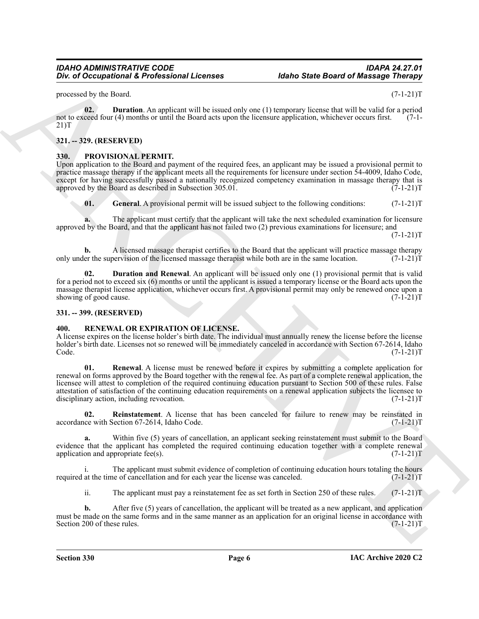processed by the Board. (7-1-21)T

<span id="page-5-10"></span>**02. Duration**. An applicant will be issued only one (1) temporary license that will be valid for a period not to exceed four (4) months or until the Board acts upon the licensure application, whichever occurs first. 21)T

#### <span id="page-5-0"></span>**321. -- 329. (RESERVED)**

#### <span id="page-5-4"></span><span id="page-5-1"></span>**330. PROVISIONAL PERMIT.**

Upon application to the Board and payment of the required fees, an applicant may be issued a provisional permit to practice massage therapy if the applicant meets all the requirements for licensure under section 54-4009, Idaho Code, except for having successfully passed a nationally recognized competency examination in massage therapy that is approved by the Board as described in Subsection 305.01. (7-1-21) approved by the Board as described in Subsection  $305.01$ .

<span id="page-5-6"></span>**01.** General. A provisional permit will be issued subject to the following conditions:  $(7-1-21)$ T

**a.** The applicant must certify that the applicant will take the next scheduled examination for licensure approved by the Board, and that the applicant has not failed two (2) previous examinations for licensure; and

 $(7-1-21)T$ 

**b.** A licensed massage therapist certifies to the Board that the applicant will practice massage therapy er the supervision of the licensed massage therapist while both are in the same location. (7-1-21)T only under the supervision of the licensed massage therapist while both are in the same location.

<span id="page-5-5"></span>**02. Duration and Renewal**. An applicant will be issued only one (1) provisional permit that is valid for a period not to exceed six (6) months or until the applicant is issued a temporary license or the Board acts upon the massage therapist license application, whichever occurs first. A provisional permit may only be renewed once upon a showing of good cause. (7-1-21) showing of good cause.

#### <span id="page-5-2"></span>**331. -- 399. (RESERVED)**

#### <span id="page-5-7"></span><span id="page-5-3"></span>*RENEWAL OR EXPIRATION OF LICENSE.*

<span id="page-5-9"></span>A license expires on the license holder's birth date. The individual must annually renew the license before the license holder's birth date. Licenses not so renewed will be immediately canceled in accordance with Section 67-2614, Idaho  $\text{Code.} \tag{7-1-21}$ 

*Div.* of Occupational K. Professional Licenses<br> *grows and but be the control of the state of the state of the state of the state of the state of the state of the state of the state of the state of the state of the state* **01. Renewal**. A license must be renewed before it expires by submitting a complete application for renewal on forms approved by the Board together with the renewal fee. As part of a complete renewal application, the licensee will attest to completion of the required continuing education pursuant to Section 500 of these rules. False attestation of satisfaction of the continuing education requirements on a renewal application subjects the licensee to disciplinary action, including revocation. disciplinary action, including revocation.

<span id="page-5-8"></span>**02. Reinstatement**. A license that has been canceled for failure to renew may be reinstated in accordance with Section 67-2614, Idaho Code. (7-1-21)T

**a.** Within five (5) years of cancellation, an applicant seeking reinstatement must submit to the Board evidence that the applicant has completed the required continuing education together with a complete renewal application and appropriate fee(s).  $(7-1-21)$ T

i. The applicant must submit evidence of completion of continuing education hours totaling the hours at the time of cancellation and for each year the license was canceled. (7-1-21) required at the time of cancellation and for each year the license was canceled.

ii. The applicant must pay a reinstatement fee as set forth in Section 250 of these rules. (7-1-21)T

**b.** After five (5) years of cancellation, the applicant will be treated as a new applicant, and application must be made on the same forms and in the same manner as an application for an original license in accordance with<br>Section 200 of these rules. (7-1-21) Section 200 of these rules.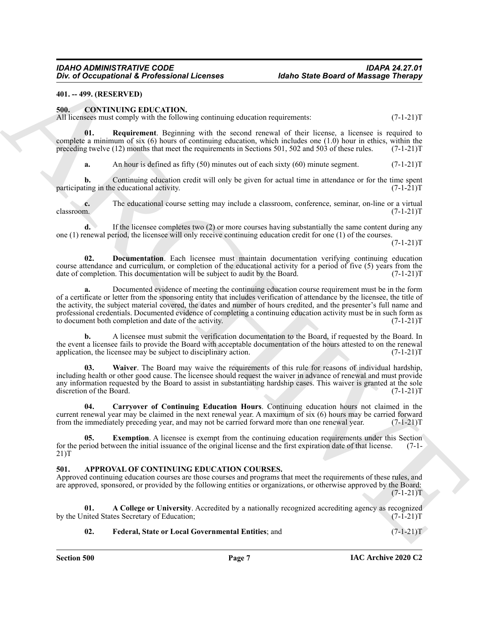#### <span id="page-6-0"></span>**401. -- 499. (RESERVED)**

#### <span id="page-6-6"></span><span id="page-6-1"></span>**500. CONTINUING EDUCATION.**

All licensees must comply with the following continuing education requirements:  $(7-1-21)$ T

**01. Requirement**. Beginning with the second renewal of their license, a licensee is required to complete a minimum of six  $(6)$  hours of continuing education, which includes one  $(1.0)$  hour in ethics, within the preceding twelve (12) months that meet the requirements in Sections 501, 502 and 503 of these rules. (7-1-21)T

<span id="page-6-10"></span>**a.** An hour is defined as fifty (50) minutes out of each sixty (60) minute segment. (7-1-21)T

**b.** Continuing education credit will only be given for actual time in attendance or for the time spent ting in the educational activity.  $(7-1-21)$ participating in the educational activity.

**c.** The educational course setting may include a classroom, conference, seminar, on-line or a virtual classroom.  $(7-1-21)T$ classroom. (7-1-21)T

**d.** If the licensee completes two (2) or more courses having substantially the same content during any one (1) renewal period, the licensee will only receive continuing education credit for one (1) of the courses.  $(7-1-21)T$ 

<span id="page-6-8"></span>**02. Documentation**. Each licensee must maintain documentation verifying continuing education course attendance and curriculum, or completion of the educational activity for a period of five (5) years from the date of completion. This documentation will be subject to audit by the Board. (7-1-21)T date of completion. This documentation will be subject to audit by the Board.

One of Occupational & Professional Licenses<br>
46the State State State State State State State State State State State State State State State State State State State State State State State State State State State State St **a.** Documented evidence of meeting the continuing education course requirement must be in the form of a certificate or letter from the sponsoring entity that includes verification of attendance by the licensee, the title of the activity, the subject material covered, the dates and number of hours credited, and the presenter's full name and professional credentials. Documented evidence of completing a continuing education activity must be in such form as to document both completion and date of the activity. (7-1-21)T

**b.** A licensee must submit the verification documentation to the Board, if requested by the Board. In the event a licensee fails to provide the Board with acceptable documentation of the hours attested to on the renewal application, the licensee may be subject to disciplinary action. (7-1-21) T

<span id="page-6-11"></span>**03. Waiver**. The Board may waive the requirements of this rule for reasons of individual hardship, including health or other good cause. The licensee should request the waiver in advance of renewal and must provide any information requested by the Board to assist in substantiating hardship cases. This waiver is granted at the sole discretion of the Board. (7-1-21)T

<span id="page-6-7"></span>**04. Carryover of Continuing Education Hours**. Continuing education hours not claimed in the current renewal year may be claimed in the next renewal year. A maximum of six (6) hours may be carried forward from the immediately preceding year, and may not be carried forward more than one renewal year. (7-1-21)T

<span id="page-6-9"></span>**Exemption**. A licensee is exempt from the continuing education requirements under this Section ween the initial issuance of the original license and the first expiration date of that license. (7-1for the period between the initial issuance of the original license and the first expiration date of that license. 21)T

## <span id="page-6-3"></span><span id="page-6-2"></span>**501. APPROVAL OF CONTINUING EDUCATION COURSES.**

Approved continuing education courses are those courses and programs that meet the requirements of these rules, and are approved, sponsored, or provided by the following entities or organizations, or otherwise approved by the Board:  $(7-1-21)T$ 

**01. A College or University**. Accredited by a nationally recognized accrediting agency as recognized nited States Secretary of Education; (7-1-21) by the United States Secretary of Education;

#### <span id="page-6-5"></span><span id="page-6-4"></span>**02. Federal, State or Local Governmental Entities**; and (7-1-21)T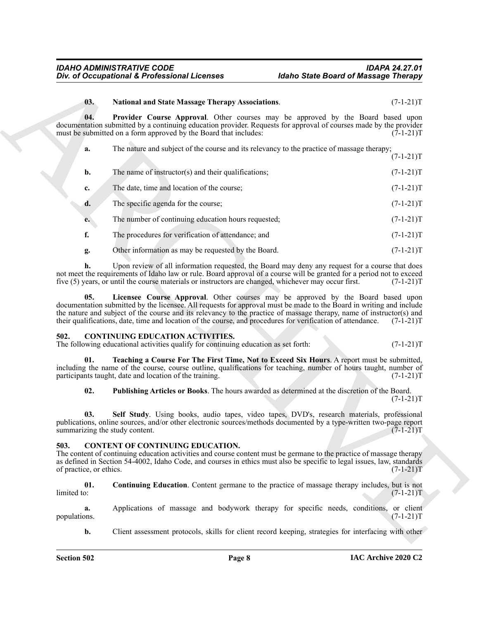## <span id="page-7-4"></span><span id="page-7-3"></span>**03. National and State Massage Therapy Associations**. (7-1-21)T

|                                 | Div. of Occupational & Professional Licenses                                                                                                                                                                                                                                                                                                                                                                                                  | <b>Idaho State Board of Massage Therapy</b> |                          |
|---------------------------------|-----------------------------------------------------------------------------------------------------------------------------------------------------------------------------------------------------------------------------------------------------------------------------------------------------------------------------------------------------------------------------------------------------------------------------------------------|---------------------------------------------|--------------------------|
| 03.                             | <b>National and State Massage Therapy Associations.</b>                                                                                                                                                                                                                                                                                                                                                                                       |                                             | $(7-1-21)T$              |
| 04.                             | Provider Course Approval. Other courses may be approved by the Board based upon<br>documentation submitted by a continuing education provider. Requests for approval of courses made by the provider<br>must be submitted on a form approved by the Board that includes:                                                                                                                                                                      |                                             | $(7-1-21)T$              |
| a.                              | The nature and subject of the course and its relevancy to the practice of massage therapy;                                                                                                                                                                                                                                                                                                                                                    |                                             | $(7-1-21)T$              |
| b.                              | The name of instructor(s) and their qualifications;                                                                                                                                                                                                                                                                                                                                                                                           |                                             | $(7-1-21)T$              |
| c.                              | The date, time and location of the course;                                                                                                                                                                                                                                                                                                                                                                                                    |                                             | $(7-1-21)T$              |
| d.                              | The specific agenda for the course;                                                                                                                                                                                                                                                                                                                                                                                                           |                                             | $(7-1-21)T$              |
| e.                              | The number of continuing education hours requested;                                                                                                                                                                                                                                                                                                                                                                                           |                                             | $(7-1-21)T$              |
| f.                              | The procedures for verification of attendance; and                                                                                                                                                                                                                                                                                                                                                                                            |                                             | $(7-1-21)T$              |
| g.                              | Other information as may be requested by the Board.                                                                                                                                                                                                                                                                                                                                                                                           |                                             | $(7-1-21)T$              |
| h.                              | Upon review of all information requested, the Board may deny any request for a course that does<br>not meet the requirements of Idaho law or rule. Board approval of a course will be granted for a period not to exceed<br>five (5) years, or until the course materials or instructors are changed, whichever may occur first.                                                                                                              |                                             | $(7-1-21)T$              |
| 05.                             | Licensee Course Approval. Other courses may be approved by the Board based upon<br>documentation submitted by the licensee. All requests for approval must be made to the Board in writing and include<br>the nature and subject of the course and its relevancy to the practice of massage therapy, name of instructor(s) and<br>their qualifications, date, time and location of the course, and procedures for verification of attendance. |                                             | $(7-1-21)T$              |
| 502.                            | <b>CONTINUING EDUCATION ACTIVITIES.</b><br>The following educational activities qualify for continuing education as set forth:                                                                                                                                                                                                                                                                                                                |                                             | $(7-1-21)T$              |
| 01.                             | Teaching a Course For The First Time, Not to Exceed Six Hours. A report must be submitted,<br>including the name of the course, course outline, qualifications for teaching, number of hours taught, number of<br>participants taught, date and location of the training.                                                                                                                                                                     |                                             | $(7-1-21)T$              |
| 02.                             | Publishing Articles or Books. The hours awarded as determined at the discretion of the Board.                                                                                                                                                                                                                                                                                                                                                 |                                             | $(7-1-21)T$              |
| 03.                             | Self Study. Using books, audio tapes, video tapes, DVD's, research materials, professional<br>publications, online sources, and/or other electronic sources/methods documented by a type-written two-page report<br>summarizing the study content.                                                                                                                                                                                            |                                             | $(7-1-21)T$              |
| 503.<br>of practice, or ethics. | <b>CONTENT OF CONTINUING EDUCATION.</b><br>The content of continuing education activities and course content must be germane to the practice of massage therapy<br>as defined in Section 54-4002, Idaho Code, and courses in ethics must also be specific to legal issues, law, standards                                                                                                                                                     |                                             | $(7-1-21)T$              |
| 01.<br>limited to:              | Continuing Education. Content germane to the practice of massage therapy includes, but is not                                                                                                                                                                                                                                                                                                                                                 |                                             | $(7-1-21)T$              |
| a.<br>populations.              | Applications of massage and bodywork therapy for specific needs, conditions,                                                                                                                                                                                                                                                                                                                                                                  |                                             | or client<br>$(7-1-21)T$ |
|                                 |                                                                                                                                                                                                                                                                                                                                                                                                                                               |                                             |                          |

#### <span id="page-7-10"></span><span id="page-7-8"></span><span id="page-7-7"></span><span id="page-7-2"></span><span id="page-7-0"></span>**502. CONTINUING EDUCATION ACTIVITIES.**

#### <span id="page-7-9"></span><span id="page-7-6"></span><span id="page-7-5"></span><span id="page-7-1"></span>**503. CONTENT OF CONTINUING EDUCATION.**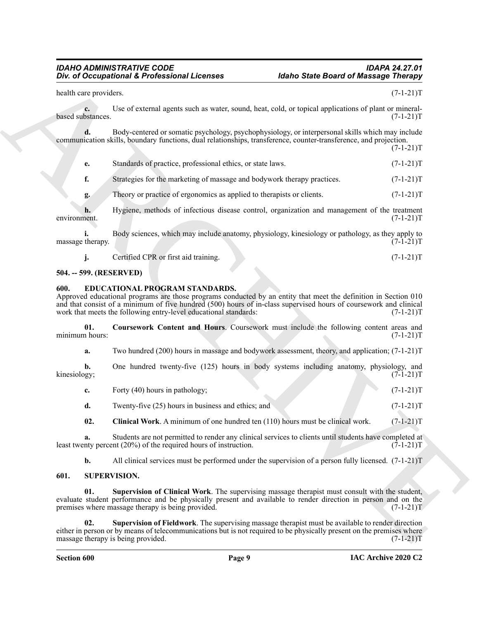|                         | Div. of Occupational & Professional Licenses                                                                                                                                                                                                                                                                                               | <b>Idaho State Board of Massage Therapy</b> |             |
|-------------------------|--------------------------------------------------------------------------------------------------------------------------------------------------------------------------------------------------------------------------------------------------------------------------------------------------------------------------------------------|---------------------------------------------|-------------|
| health care providers.  |                                                                                                                                                                                                                                                                                                                                            |                                             | $(7-1-21)T$ |
| c.<br>based substances. | Use of external agents such as water, sound, heat, cold, or topical applications of plant or mineral-                                                                                                                                                                                                                                      |                                             | $(7-1-21)T$ |
| d.                      | Body-centered or somatic psychology, psychophysiology, or interpersonal skills which may include<br>communication skills, boundary functions, dual relationships, transference, counter-transference, and projection.                                                                                                                      |                                             | $(7-1-21)T$ |
| e.                      | Standards of practice, professional ethics, or state laws.                                                                                                                                                                                                                                                                                 |                                             | $(7-1-21)T$ |
| f.                      | Strategies for the marketing of massage and bodywork therapy practices.                                                                                                                                                                                                                                                                    |                                             | $(7-1-21)T$ |
| g.                      | Theory or practice of ergonomics as applied to therapists or clients.                                                                                                                                                                                                                                                                      |                                             | $(7-1-21)T$ |
| h.<br>environment.      | Hygiene, methods of infectious disease control, organization and management of the treatment                                                                                                                                                                                                                                               |                                             | $(7-1-21)T$ |
| i.<br>massage therapy.  | Body sciences, which may include anatomy, physiology, kinesiology or pathology, as they apply to                                                                                                                                                                                                                                           |                                             | $(7-1-21)T$ |
| j.                      | Certified CPR or first aid training.                                                                                                                                                                                                                                                                                                       |                                             | $(7-1-21)T$ |
| 504. -- 599. (RESERVED) |                                                                                                                                                                                                                                                                                                                                            |                                             |             |
| 600.                    | EDUCATIONAL PROGRAM STANDARDS.<br>Approved educational programs are those programs conducted by an entity that meet the definition in Section 010<br>and that consist of a minimum of five hundred (500) hours of in-class supervised hours of coursework and clinical<br>work that meets the following entry-level educational standards: |                                             | $(7-1-21)T$ |
| 01.<br>minimum hours:   | Coursework Content and Hours. Coursework must include the following content areas and                                                                                                                                                                                                                                                      |                                             | $(7-1-21)T$ |
| a.                      | Two hundred $(200)$ hours in massage and bodywork assessment, theory, and application; $(7-1-21)$ T                                                                                                                                                                                                                                        |                                             |             |
| b.<br>kinesiology;      | One hundred twenty-five (125) hours in body systems including anatomy, physiology, and                                                                                                                                                                                                                                                     |                                             | $(7-1-21)T$ |
| c.                      | Forty (40) hours in pathology;                                                                                                                                                                                                                                                                                                             |                                             | $(7-1-21)T$ |
| d.                      | Twenty-five (25) hours in business and ethics; and                                                                                                                                                                                                                                                                                         |                                             | $(7-1-21)T$ |
| 02.                     | Clinical Work. A minimum of one hundred ten (110) hours must be clinical work.                                                                                                                                                                                                                                                             |                                             | $(7-1-21)T$ |
| a.                      | Students are not permitted to render any clinical services to clients until students have completed at<br>least twenty percent $(20%)$ of the required hours of instruction.                                                                                                                                                               |                                             | $(7-1-21)T$ |
| b.                      | All clinical services must be performed under the supervision of a person fully licensed. $(7-1-21)$ T                                                                                                                                                                                                                                     |                                             |             |
| 601.                    | <b>SUPERVISION.</b>                                                                                                                                                                                                                                                                                                                        |                                             |             |
| 01.                     | Supervision of Clinical Work. The supervising massage therapist must consult with the student,<br>evaluate student performance and be physically present and available to render direction in person and on the<br>premises where massage therapy is being provided.                                                                       |                                             | $(7-1-21)T$ |
| 02.                     | Supervision of Fieldwork. The supervising massage therapist must be available to render direction<br>either in person or by means of telecommunications but is not required to be physically present on the premises where<br>massage therapy is being provided.                                                                           |                                             | $(7-1-21)T$ |

#### <span id="page-8-0"></span>**504. -- 599. (RESERVED)**

#### <span id="page-8-5"></span><span id="page-8-3"></span><span id="page-8-1"></span>**600. EDUCATIONAL PROGRAM STANDARDS.**

- **c.** Forty (40) hours in pathology; (7-1-21)T
- <span id="page-8-4"></span>**d.** Twenty-five (25) hours in business and ethics; and (7-1-21)T

#### <span id="page-8-8"></span><span id="page-8-7"></span><span id="page-8-6"></span><span id="page-8-2"></span>**601. SUPERVISION.**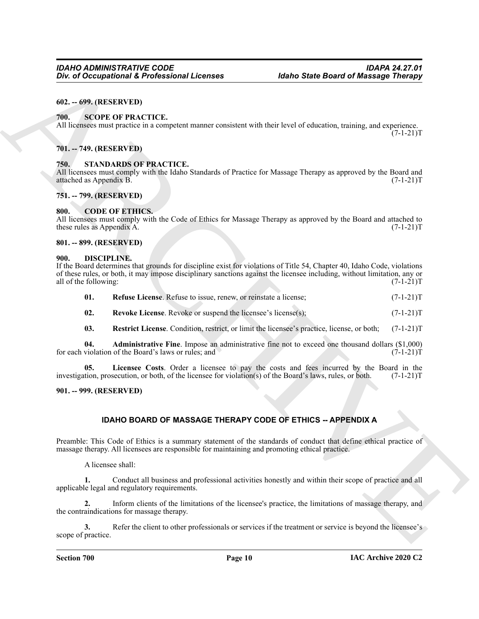#### <span id="page-9-0"></span>**602. -- 699. (RESERVED)**

#### <span id="page-9-16"></span><span id="page-9-1"></span>**700. SCOPE OF PRACTICE.**

All licensees must practice in a competent manner consistent with their level of education, training, and experience.  $(7-1-21)T$ 

#### <span id="page-9-2"></span>**701. -- 749. (RESERVED)**

#### <span id="page-9-17"></span><span id="page-9-3"></span>*STANDARDS OF PRACTICE.*

All licensees must comply with the Idaho Standards of Practice for Massage Therapy as approved by the Board and attached as Appendix B. (7-1-21)T attached as Appendix B.

#### <span id="page-9-4"></span>**751. -- 799. (RESERVED)**

#### <span id="page-9-9"></span><span id="page-9-5"></span>**800. CODE OF ETHICS.**

All licensees must comply with the Code of Ethics for Massage Therapy as approved by the Board and attached to these rules as Appendix A. (7-1-21) these rules as Appendix A.

#### <span id="page-9-6"></span>**801. -- 899. (RESERVED)**

#### <span id="page-9-10"></span><span id="page-9-7"></span>**900. DISCIPLINE.**

*Div.* of Occupational & Professional Licenses<br>
Malto State Board of Massage Theory.<br>
All increases may provide the component manner consistent with their level of electronics, untimity, and expectation.<br>
All increases ma If the Board determines that grounds for discipline exist for violations of Title 54, Chapter 40, Idaho Code, violations of these rules, or both, it may impose disciplinary sanctions against the licensee including, without limitation, any or all of the following:

<span id="page-9-15"></span><span id="page-9-13"></span>

| 01. | <b>Refuse License.</b> Refuse to issue, renew, or reinstate a license; | $(7-1-21)T$ |
|-----|------------------------------------------------------------------------|-------------|
| 02. | <b>Revoke License.</b> Revoke or suspend the licensee's license(s);    | $(7-1-21)T$ |

<span id="page-9-14"></span><span id="page-9-12"></span><span id="page-9-11"></span>**03. Restrict License**. Condition, restrict, or limit the licensee's practice, license, or both; (7-1-21)T

**04. Administrative Fine**. Impose an administrative fine not to exceed one thousand dollars (\$1,000) for each violation of the Board's laws or rules; and

**05.** Licensee Costs. Order a licensee to pay the costs and fees incurred by the Board in the tion, prosecution, or both, of the licensee for violation(s) of the Board's laws, rules, or both. (7-1-21) investigation, prosecution, or both, of the licensee for violation(s) of the Board's laws, rules, or both.

#### <span id="page-9-8"></span>**901. -- 999. (RESERVED)**

#### **IDAHO BOARD OF MASSAGE THERAPY CODE OF ETHICS -- APPENDIX A**

Preamble: This Code of Ethics is a summary statement of the standards of conduct that define ethical practice of massage therapy. All licensees are responsible for maintaining and promoting ethical practice.

A licensee shall:

**1.** Conduct all business and professional activities honestly and within their scope of practice and all applicable legal and regulatory requirements.

**2.** Inform clients of the limitations of the licensee's practice, the limitations of massage therapy, and the contraindications for massage therapy.

**3.** Refer the client to other professionals or services if the treatment or service is beyond the licensee's scope of practice.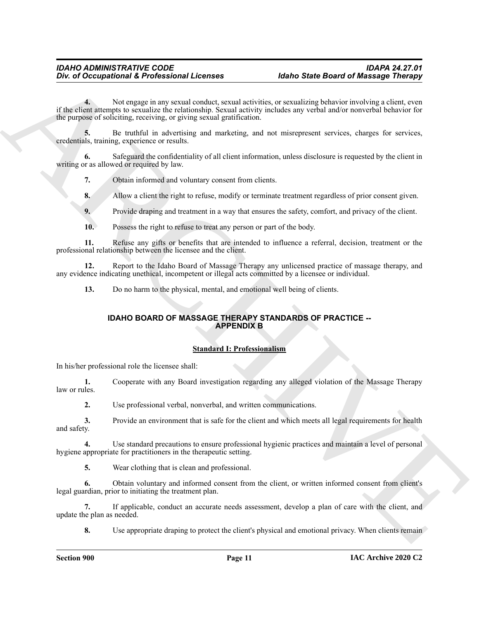One of Occupational & Professional Licenses<br>
Yes, while range is any count of the context properties and the size of positive intervention of the system of the context of the result of the context of the system of the sys **4.** Not engage in any sexual conduct, sexual activities, or sexualizing behavior involving a client, even if the client attempts to sexualize the relationship. Sexual activity includes any verbal and/or nonverbal behavior for the purpose of soliciting, receiving, or giving sexual gratification.

**5.** Be truthful in advertising and marketing, and not misrepresent services, charges for services, credentials, training, experience or results.

**6.** Safeguard the confidentiality of all client information, unless disclosure is requested by the client in writing or as allowed or required by law.

**7.** Obtain informed and voluntary consent from clients.

**8.** Allow a client the right to refuse, modify or terminate treatment regardless of prior consent given.

**9.** Provide draping and treatment in a way that ensures the safety, comfort, and privacy of the client.

**10.** Possess the right to refuse to treat any person or part of the body.

**11.** Refuse any gifts or benefits that are intended to influence a referral, decision, treatment or the professional relationship between the licensee and the client.

**12.** Report to the Idaho Board of Massage Therapy any unlicensed practice of massage therapy, and any evidence indicating unethical, incompetent or illegal acts committed by a licensee or individual.

**13.** Do no harm to the physical, mental, and emotional well being of clients.

## **IDAHO BOARD OF MASSAGE THERAPY STANDARDS OF PRACTICE -- APPENDIX B**

#### **Standard I: Professionalism**

In his/her professional role the licensee shall:

**1.** Cooperate with any Board investigation regarding any alleged violation of the Massage Therapy law or rules.

**2.** Use professional verbal, nonverbal, and written communications.

**3.** Provide an environment that is safe for the client and which meets all legal requirements for health and safety.

**4.** Use standard precautions to ensure professional hygienic practices and maintain a level of personal hygiene appropriate for practitioners in the therapeutic setting.

**5.** Wear clothing that is clean and professional.

**6.** Obtain voluntary and informed consent from the client, or written informed consent from client's legal guardian, prior to initiating the treatment plan.

**7.** If applicable, conduct an accurate needs assessment, develop a plan of care with the client, and update the plan as needed.

**8.** Use appropriate draping to protect the client's physical and emotional privacy. When clients remain

**Section 900 Page 11**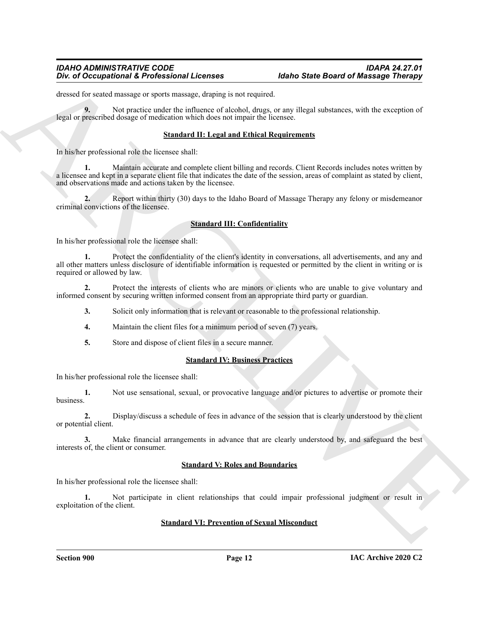dressed for seated massage or sports massage, draping is not required.

**9.** Not practice under the influence of alcohol, drugs, or any illegal substances, with the exception of legal or prescribed dosage of medication which does not impair the licensee.

#### **Standard II: Legal and Ethical Requirements**

In his/her professional role the licensee shall:

One of Occupational K. Professional Licenses<br>
Show of Occupational K. Professional Licenses<br>
Unsertable and the state of the state of the state of the state of the state of the state of the state of the state of the state **1.** Maintain accurate and complete client billing and records. Client Records includes notes written by a licensee and kept in a separate client file that indicates the date of the session, areas of complaint as stated by client, and observations made and actions taken by the licensee.

**2.** Report within thirty (30) days to the Idaho Board of Massage Therapy any felony or misdemeanor criminal convictions of the licensee.

## **Standard III: Confidentiality**

In his/her professional role the licensee shall:

**1.** Protect the confidentiality of the client's identity in conversations, all advertisements, and any and all other matters unless disclosure of identifiable information is requested or permitted by the client in writing or is required or allowed by law.

**2.** Protect the interests of clients who are minors or clients who are unable to give voluntary and informed consent by securing written informed consent from an appropriate third party or guardian.

- **3.** Solicit only information that is relevant or reasonable to the professional relationship.
- **4.** Maintain the client files for a minimum period of seven (7) years.
- **5.** Store and dispose of client files in a secure manner.

#### **Standard IV: Business Practices**

In his/her professional role the licensee shall:

**1.** Not use sensational, sexual, or provocative language and/or pictures to advertise or promote their business.

**2.** Display/discuss a schedule of fees in advance of the session that is clearly understood by the client or potential client.

**3.** Make financial arrangements in advance that are clearly understood by, and safeguard the best interests of, the client or consumer.

#### **Standard V: Roles and Boundaries**

In his/her professional role the licensee shall:

**1.** Not participate in client relationships that could impair professional judgment or result in exploitation of the client.

#### **Standard VI: Prevention of Sexual Misconduct**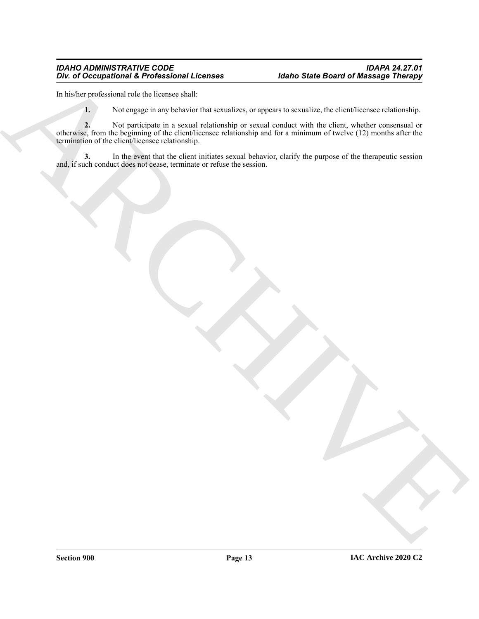In his/her professional role the licensee shall:

**1.** Not engage in any behavior that sexualizes, or appears to sexualize, the client/licensee relationship.

En de Occupation à la Fréderica des la Compacter de Compacter de la Compacter de la Compacter de la Compacter<br>
La Barbara de la Compacter de la Compacter de Compacter de Compacter de la Compacter de la Compacter de la Comp **2.** Not participate in a sexual relationship or sexual conduct with the client, whether consensual or otherwise, from the beginning of the client/licensee relationship and for a minimum of twelve (12) months after the termination of the client/licensee relationship.

**3.** In the event that the client initiates sexual behavior, clarify the purpose of the therapeutic session and, if such conduct does not cease, terminate or refuse the session.